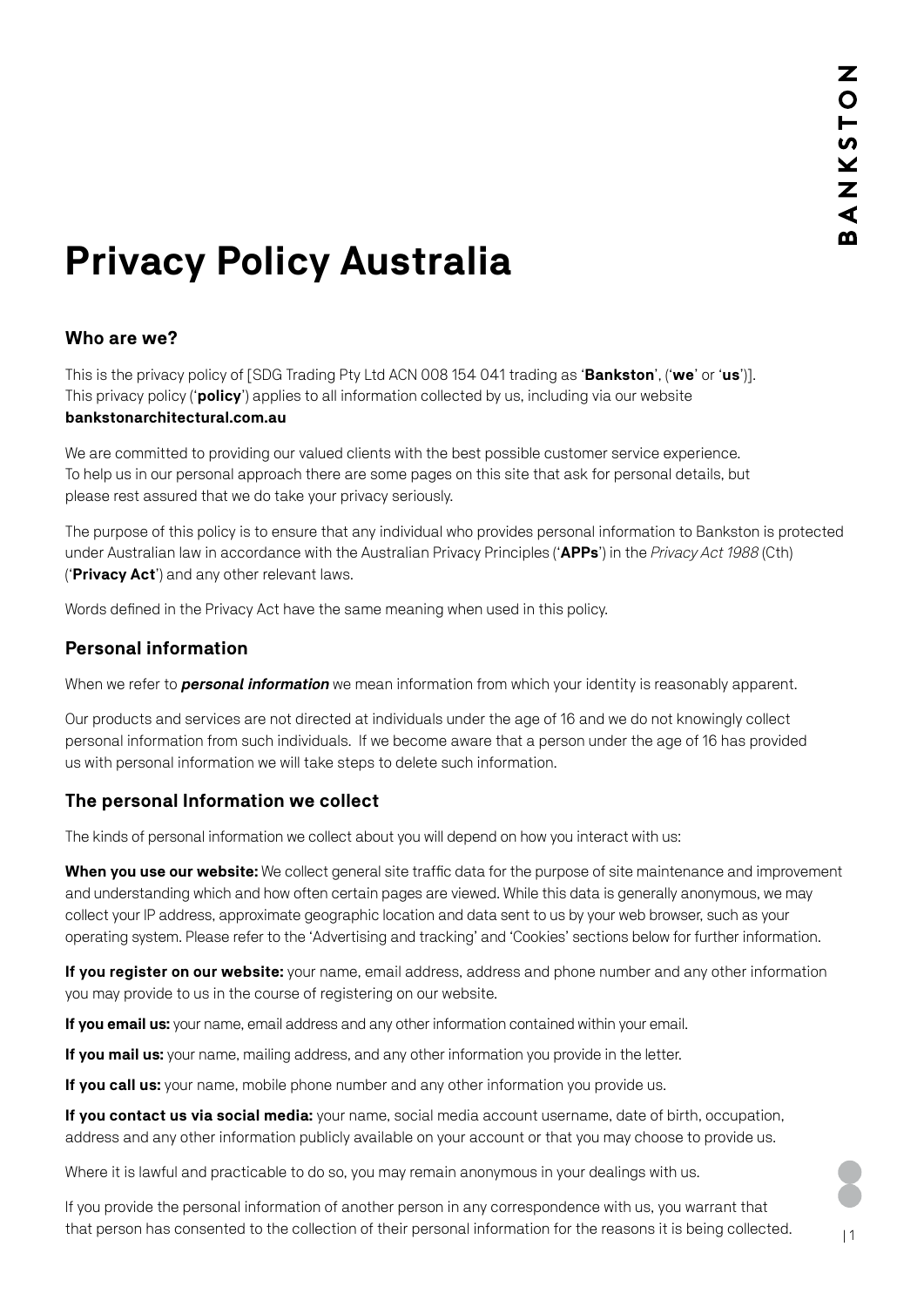# **Privacy Policy Australia**

# **Who are we?**

This is the privacy policy of [SDG Trading Pty Ltd ACN 008 154 041 trading as '**Bankston**', ('**we**' or '**us**')]. This privacy policy ('**policy**') applies to all information collected by us, including via our website **[bankstonarchitectural.com.au](http://bankstonarchitectural.com.au)** 

We are committed to providing our valued clients with the best possible customer service experience. To help us in our personal approach there are some pages on this site that ask for personal details, but please rest assured that we do take your privacy seriously.

The purpose of this policy is to ensure that any individual who provides personal information to Bankston is protected under Australian law in accordance with the Australian Privacy Principles ('**APPs**') in the *Privacy Act 1988* (Cth) ('**Privacy Act**') and any other relevant laws.

Words defined in the Privacy Act have the same meaning when used in this policy.

#### **Personal information**

When we refer to *personal information* we mean information from which your identity is reasonably apparent.

Our products and services are not directed at individuals under the age of 16 and we do not knowingly collect personal information from such individuals. If we become aware that a person under the age of 16 has provided us with personal information we will take steps to delete such information.

# **The personal Information we collect**

The kinds of personal information we collect about you will depend on how you interact with us:

**When you use our website:** We collect general site traffic data for the purpose of site maintenance and improvement and understanding which and how often certain pages are viewed. While this data is generally anonymous, we may collect your IP address, approximate geographic location and data sent to us by your web browser, such as your operating system. Please refer to the 'Advertising and tracking' and 'Cookies' sections below for further information.

**If you register on our website:** your name, email address, address and phone number and any other information you may provide to us in the course of registering on our website.

**If you email us:** your name, email address and any other information contained within your email.

**If you mail us:** your name, mailing address, and any other information you provide in the letter.

**If you call us:** your name, mobile phone number and any other information you provide us.

**If you contact us via social media:** your name, social media account username, date of birth, occupation, address and any other information publicly available on your account or that you may choose to provide us.

Where it is lawful and practicable to do so, you may remain anonymous in your dealings with us.

If you provide the personal information of another person in any correspondence with us, you warrant that that person has consented to the collection of their personal information for the reasons it is being collected.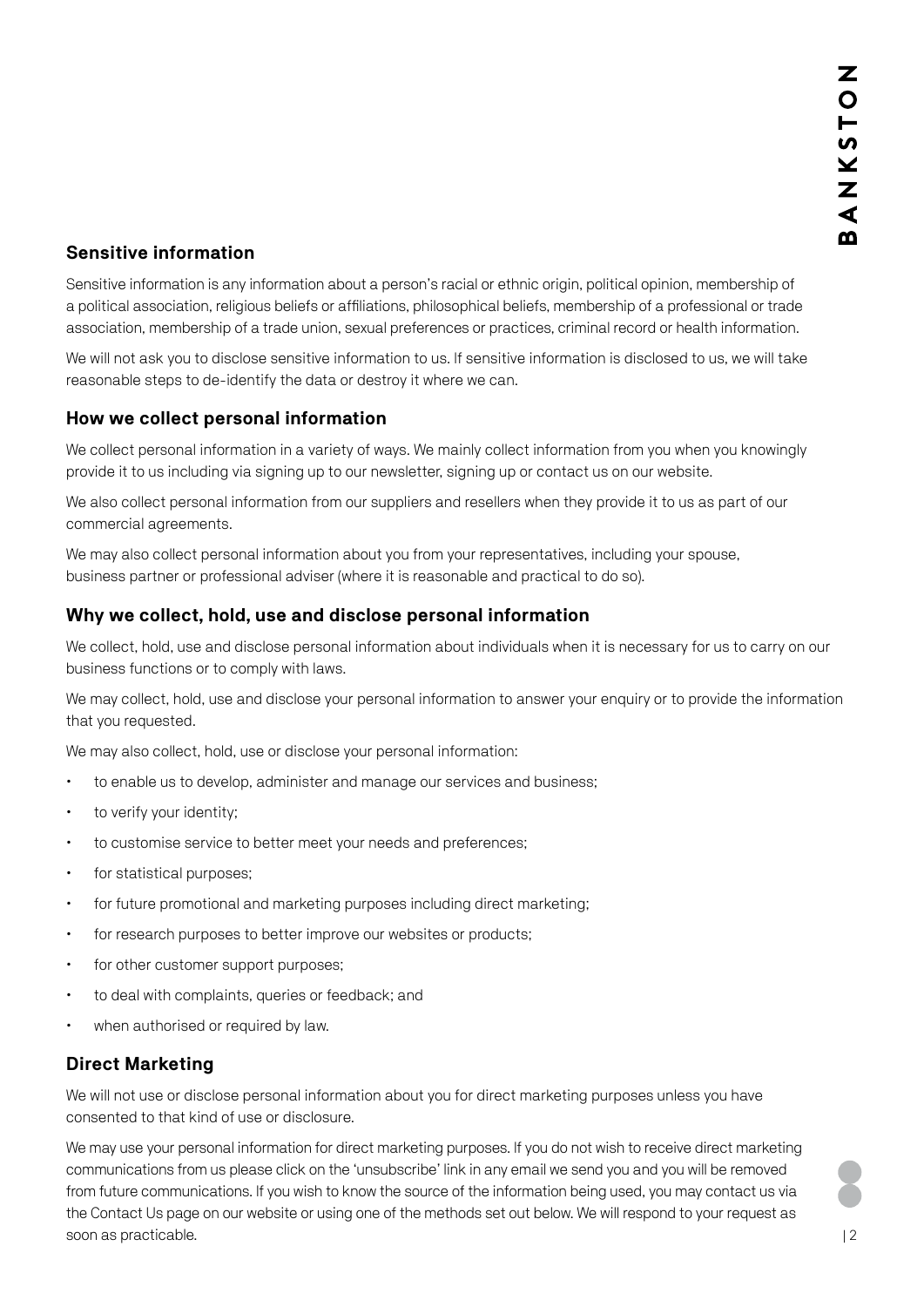# **Sensitive information**

Sensitive information is any information about a person's racial or ethnic origin, political opinion, membership of a political association, religious beliefs or affiliations, philosophical beliefs, membership of a professional or trade association, membership of a trade union, sexual preferences or practices, criminal record or health information.

We will not ask you to disclose sensitive information to us. If sensitive information is disclosed to us, we will take reasonable steps to de-identify the data or destroy it where we can.

## **How we collect personal information**

We collect personal information in a variety of ways. We mainly collect information from you when you knowingly provide it to us including via signing up to our newsletter, signing up or contact us on our website.

We also collect personal information from our suppliers and resellers when they provide it to us as part of our commercial agreements.

We may also collect personal information about you from your representatives, including your spouse, business partner or professional adviser (where it is reasonable and practical to do so).

## **Why we collect, hold, use and disclose personal information**

We collect, hold, use and disclose personal information about individuals when it is necessary for us to carry on our business functions or to comply with laws.

We may collect, hold, use and disclose your personal information to answer your enquiry or to provide the information that you requested.

We may also collect, hold, use or disclose your personal information:

- to enable us to develop, administer and manage our services and business;
- to verify your identity;
- $\cdot$  to customise service to better meet your needs and preferences;
- for statistical purposes;
- for future promotional and marketing purposes including direct marketing;
- $\cdot$  for research purposes to better improve our websites or products:
- for other customer support purposes;
- $\cdot$  to deal with complaints, queries or feedback; and
- when authorised or required by law.

#### **Direct Marketing**

We will not use or disclose personal information about you for direct marketing purposes unless you have consented to that kind of use or disclosure.

We may use your personal information for direct marketing purposes. If you do not wish to receive direct marketing communications from us please click on the 'unsubscribe' link in any email we send you and you will be removed from future communications. If you wish to know the source of the information being used, you may contact us via the [Contact Us p](https://www.bankstonarchitectural.com.au/contact/)age on our website or using one of the methods set out below. We will respond to your request as soon as practicable.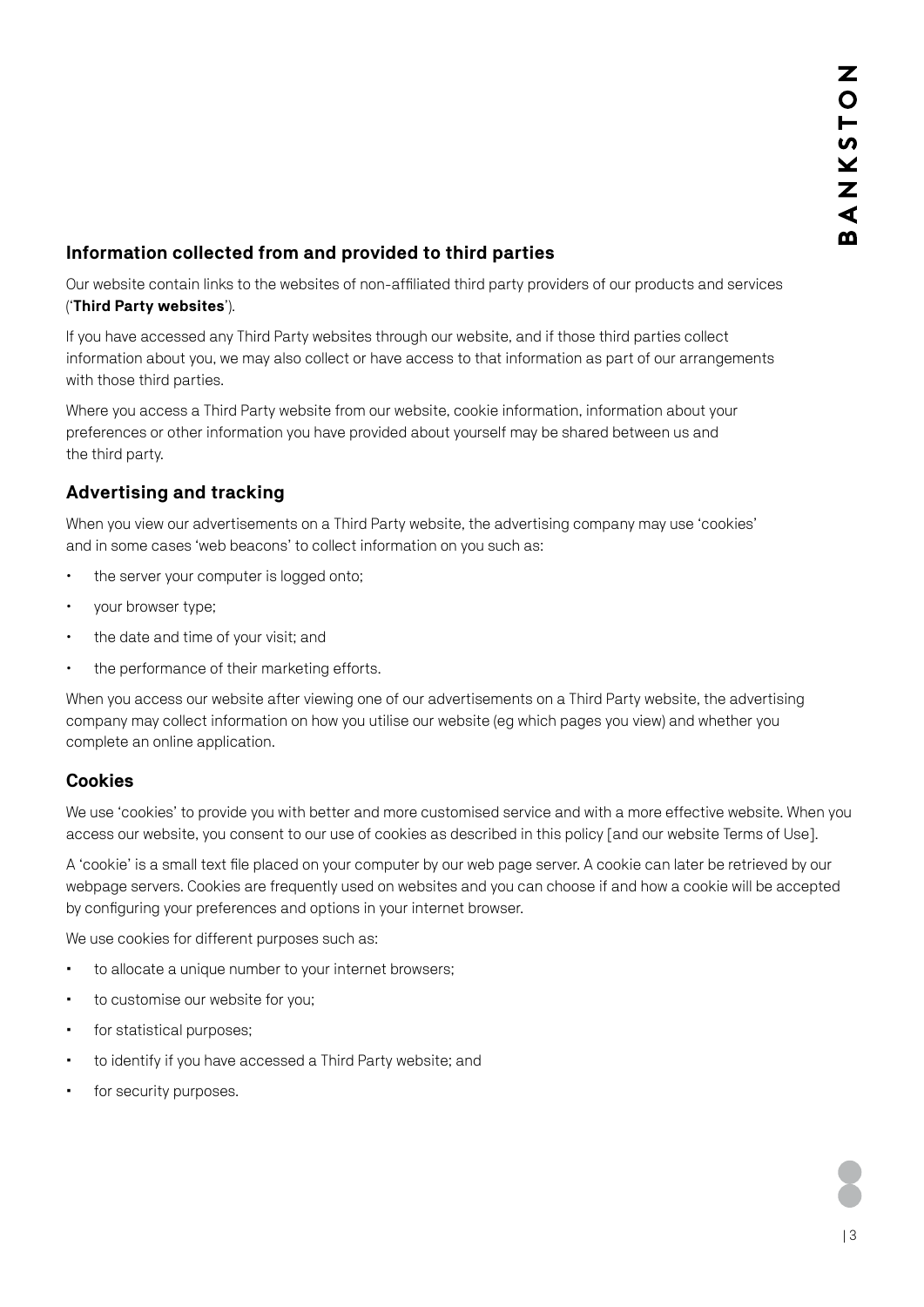# **Information collected from and provided to third parties**

Our website contain links to the websites of non-affiliated third party providers of our products and services ('**Third Party websites**').

If you have accessed any Third Party websites through our website, and if those third parties collect information about you, we may also collect or have access to that information as part of our arrangements with those third parties.

Where you access a Third Party website from our website, cookie information, information about your preferences or other information you have provided about yourself may be shared between us and the third party.

# **Advertising and tracking**

When you view our advertisements on a Third Party website, the advertising company may use 'cookies' and in some cases 'web beacons' to collect information on you such as:

- the server your computer is logged onto;
- vour browser type:
- the date and time of your visit; and
- the performance of their marketing efforts.

When you access our website after viewing one of our advertisements on a Third Party website, the advertising company may collect information on how you utilise our website (eg which pages you view) and whether you complete an online application.

#### **Cookies**

We use 'cookies' to provide you with better and more customised service and with a more effective website. When you access our website, you consent to our use of cookies as described in this policy [and our [website Terms of Use\]](https://www.bankstonarchitectural.com.au/privacy-policy/).

A 'cookie' is a small text file placed on your computer by our web page server. A cookie can later be retrieved by our webpage servers. Cookies are frequently used on websites and you can choose if and how a cookie will be accepted by configuring your preferences and options in your internet browser.

We use cookies for different purposes such as:

- to allocate a unique number to your internet browsers;
- to customise our website for you;
- for statistical purposes;
- to identify if you have accessed a Third Party website; and
- for security purposes.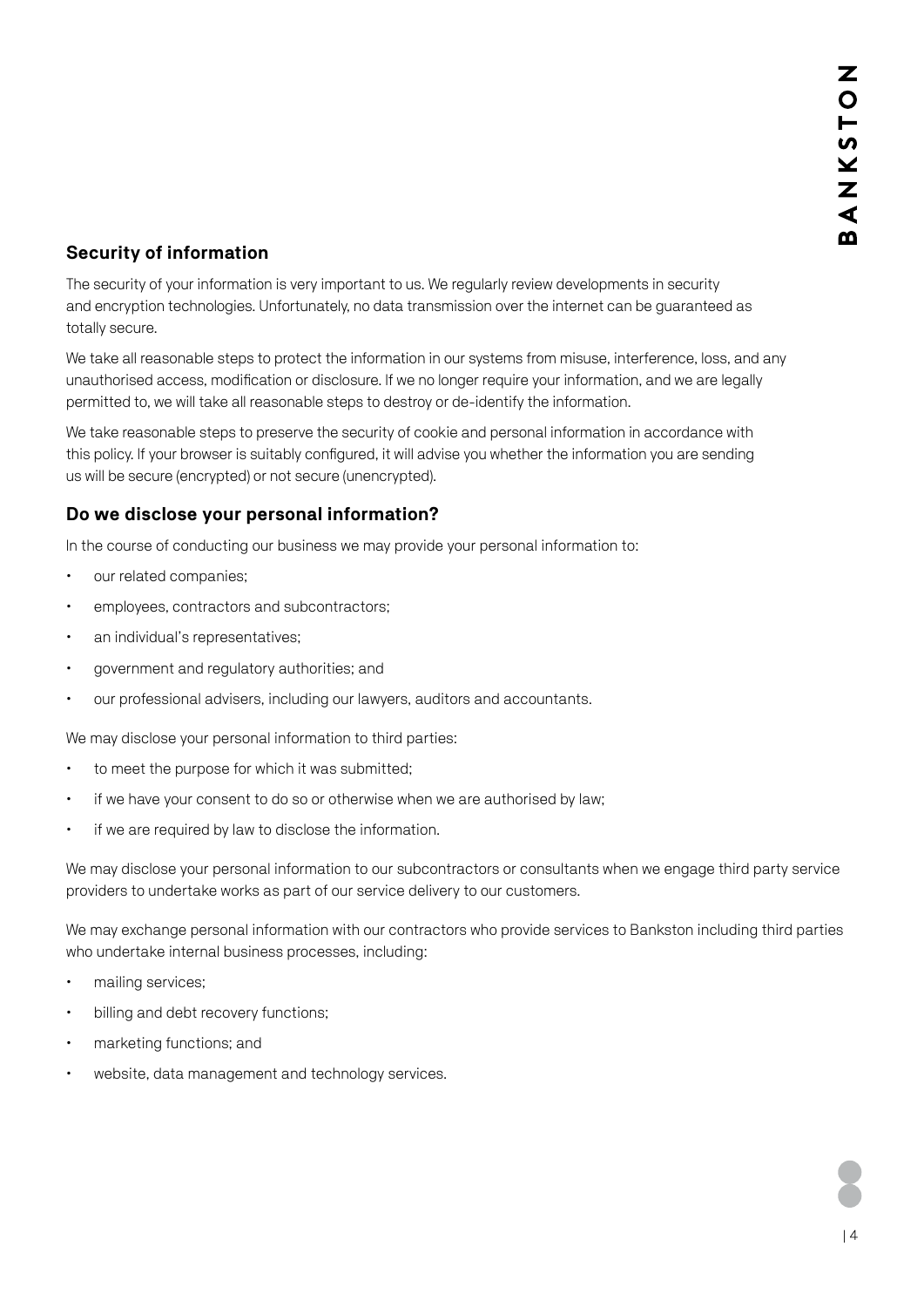# **Security of information**

The security of your information is very important to us. We regularly review developments in security and encryption technologies. Unfortunately, no data transmission over the internet can be guaranteed as totally secure.

We take all reasonable steps to protect the information in our systems from misuse, interference, loss, and any unauthorised access, modification or disclosure. If we no longer require your information, and we are legally permitted to, we will take all reasonable steps to destroy or de-identify the information.

We take reasonable steps to preserve the security of cookie and personal information in accordance with this policy. If your browser is suitably configured, it will advise you whether the information you are sending us will be secure (encrypted) or not secure (unencrypted).

# **Do we disclose your personal information?**

In the course of conducting our business we may provide your personal information to:

- our related companies;
- employees, contractors and subcontractors;
- x an individual's representatives;
- government and regulatory authorities; and
- our professional advisers, including our lawyers, auditors and accountants.

We may disclose your personal information to third parties:

- $\cdot$  to meet the purpose for which it was submitted;
- if we have your consent to do so or otherwise when we are authorised by law;
- if we are required by law to disclose the information.

We may disclose your personal information to our subcontractors or consultants when we engage third party service providers to undertake works as part of our service delivery to our customers.

We may exchange personal information with our contractors who provide services to Bankston including third parties who undertake internal business processes, including:

- mailing services;
- $\cdot$  billing and debt recovery functions;
- marketing functions; and
- website, data management and technology services.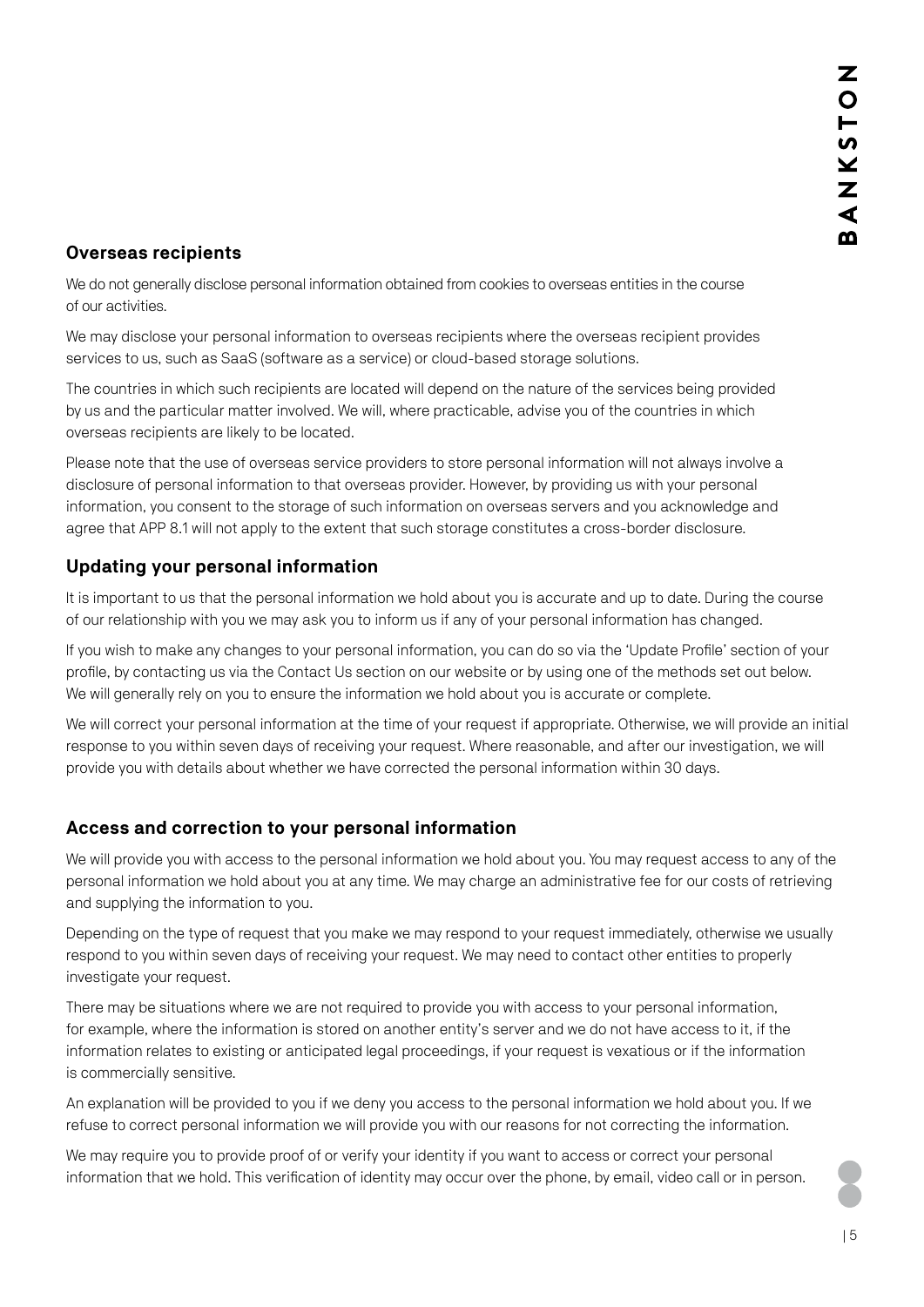## **Overseas recipients**

We do not generally disclose personal information obtained from cookies to overseas entities in the course of our activities.

We may disclose your personal information to overseas recipients where the overseas recipient provides services to us, such as SaaS (software as a service) or cloud-based storage solutions.

The countries in which such recipients are located will depend on the nature of the services being provided by us and the particular matter involved. We will, where practicable, advise you of the countries in which overseas recipients are likely to be located.

Please note that the use of overseas service providers to store personal information will not always involve a disclosure of personal information to that overseas provider. However, by providing us with your personal information, you consent to the storage of such information on overseas servers and you acknowledge and agree that APP 8.1 will not apply to the extent that such storage constitutes a cross-border disclosure.

## **Updating your personal information**

It is important to us that the personal information we hold about you is accurate and up to date. During the course of our relationship with you we may ask you to inform us if any of your personal information has changed.

If you wish to make any changes to your personal information, you can do so via the 'Update Profile' section of your profile, by contacting us via the [Contact Us s](https://www.bankstonarchitectural.com.au/contact/)ection on our website or by using one of the methods set out below. We will generally rely on you to ensure the information we hold about you is accurate or complete.

We will correct your personal information at the time of your request if appropriate. Otherwise, we will provide an initial response to you within seven days of receiving your request. Where reasonable, and after our investigation, we will provide you with details about whether we have corrected the personal information within 30 days.

# **Access and correction to your personal information**

We will provide you with access to the personal information we hold about you. You may request access to any of the personal information we hold about you at any time. We may charge an administrative fee for our costs of retrieving and supplying the information to you.

Depending on the type of request that you make we may respond to your request immediately, otherwise we usually respond to you within seven days of receiving your request. We may need to contact other entities to properly investigate your request.

There may be situations where we are not required to provide you with access to your personal information, for example, where the information is stored on another entity's server and we do not have access to it, if the information relates to existing or anticipated legal proceedings, if your request is vexatious or if the information is commercially sensitive.

An explanation will be provided to you if we deny you access to the personal information we hold about you. If we refuse to correct personal information we will provide you with our reasons for not correcting the information.

We may require you to provide proof of or verify your identity if you want to access or correct your personal information that we hold. This verification of identity may occur over the phone, by email, video call or in person.